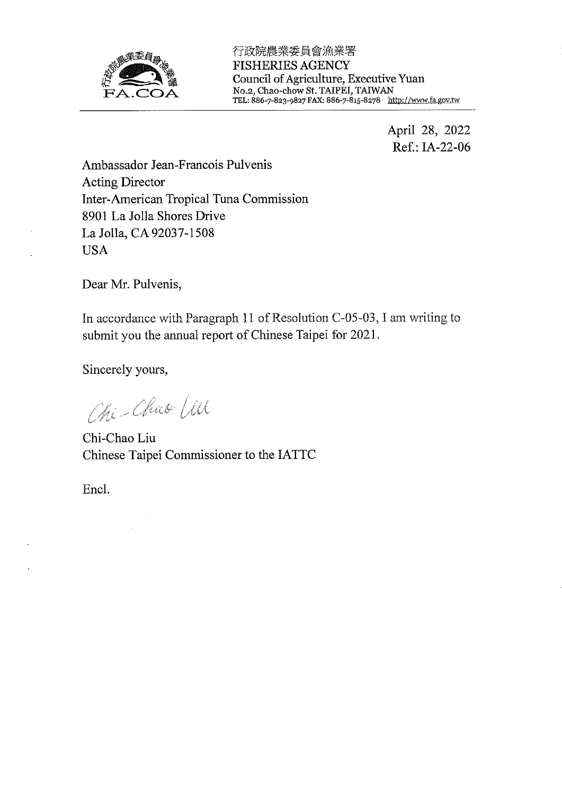

行政院農業委員會漁業署 **FISHERIES AGENCY** Council of Agriculture, Executive Yuan<br>No.2, Chao-chow St. TAIPEI, TAIWAN<br>TEL: 886-7-823-9827 FAX: 886-7-815-8278 http://www.fa.gov.tw

> April 28, 2022 Ref.: IA-22-06

Ambassador Jean-Francois Pulvenis Acting Director Inter-American Tropical Tuna Commission 8901 La Jolla Shores Drive La Jolla, CA 92037-1508 **USA** 

Dear Mr. Pulvenis,

In accordance with Paragraph 11 of Resolution C-05-03, I am writing to submit you the annual report of Chinese Taipei for 2021.

Sincerely yours,

Chi-Chao Lin

Chi-Chao Liu Chinese Taipei Commissioner to the IATTC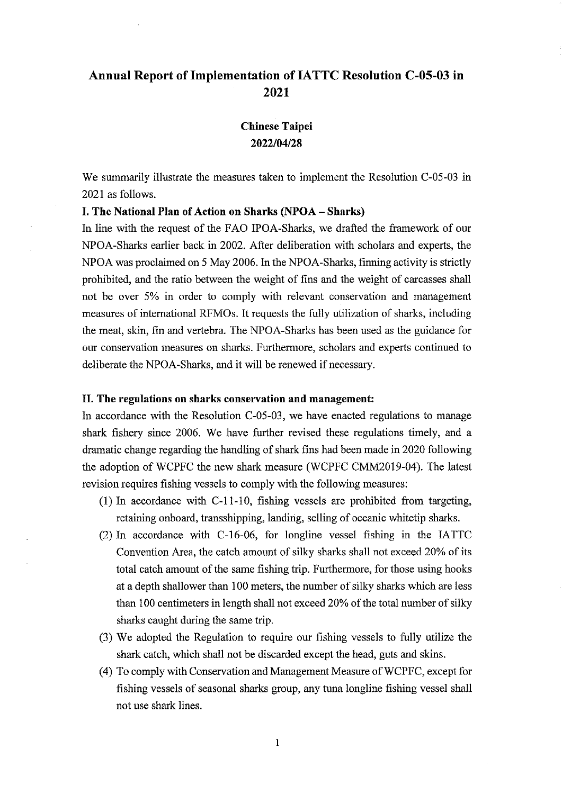## **Chinese Taipei** 2022/04/28

We summarily illustrate the measures taken to implement the Resolution C-05-03 in 2021 as follows.

### I. The National Plan of Action on Sharks (NPOA - Sharks)

In line with the request of the FAO IPOA-Sharks, we drafted the framework of our NPOA-Sharks earlier back in 2002. After deliberation with scholars and experts, the NPOA was proclaimed on 5 May 2006. In the NPOA-Sharks, finning activity is strictly prohibited, and the ratio between the weight of fins and the weight of carcasses shall not be over 5% in order to comply with relevant conservation and management measures of international RFMOs. It requests the fully utilization of sharks, including the meat, skin, fin and vertebra. The NPOA-Sharks has been used as the guidance for our conservation measures on sharks. Furthermore, scholars and experts continued to deliberate the NPOA-Sharks, and it will be renewed if necessary.

#### II. The regulations on sharks conservation and management:

In accordance with the Resolution C-05-03, we have enacted regulations to manage shark fishery since 2006. We have further revised these regulations timely, and a dramatic change regarding the handling of shark fins had been made in 2020 following the adoption of WCPFC the new shark measure (WCPFC CMM2019-04). The latest revision requires fishing vessels to comply with the following measures:

- $(1)$  In accordance with C-11-10, fishing vessels are prohibited from targeting, retaining onboard, transshipping, landing, selling of oceanic whitetip sharks.
- (2) In accordance with C-16-06, for longline vessel fishing in the IATTC Convention Area, the catch amount of silky sharks shall not exceed 20% of its total catch amount of the same fishing trip. Furthermore, for those using hooks at a depth shallower than 100 meters, the number of silky sharks which are less than 100 centimeters in length shall not exceed 20% of the total number of silky sharks caught during the same trip.
- (3) We adopted the Regulation to require our fishing vessels to fully utilize the shark catch, which shall not be discarded except the head, guts and skins.
- (4) To comply with Conservation and Management Measure of WCPFC, except for fishing vessels of seasonal sharks group, any tuna longline fishing vessel shall not use shark lines.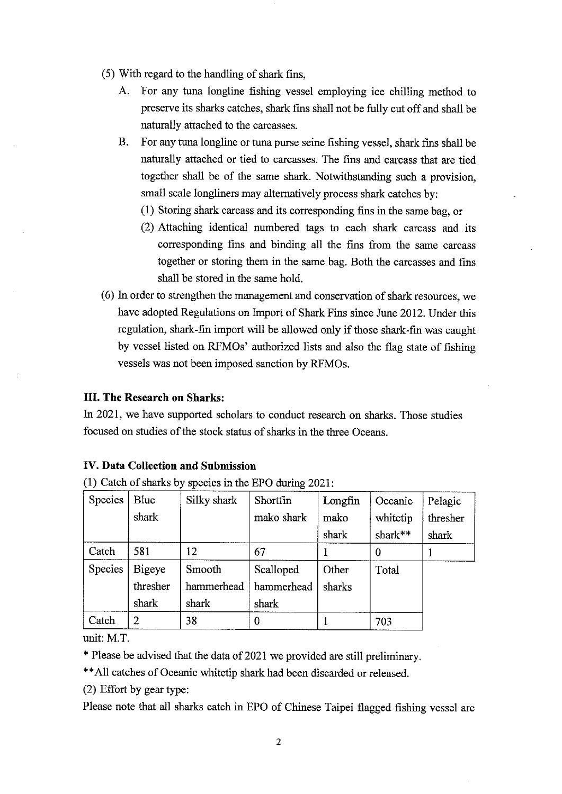- (5) With regard to the handling of shark fins,
	- $A$ For any tuna longline fishing vessel employing ice chilling method to preserve its sharks catches, shark fins shall not be fully cut off and shall be naturally attached to the carcasses.
	- $\mathbf{B}$ For any tuna longline or tuna purse seine fishing vessel, shark fins shall be naturally attached or tied to carcasses. The fins and carcass that are tied together shall be of the same shark. Notwithstanding such a provision, small scale longliners may alternatively process shark catches by:
		- (1) Storing shark carcass and its corresponding fins in the same bag, or
		- (2) Attaching identical numbered tags to each shark carcass and its corresponding fins and binding all the fins from the same carcass together or storing them in the same bag. Both the carcasses and fins shall be stored in the same hold.
- (6) In order to strengthen the management and conservation of shark resources, we have adopted Regulations on Import of Shark Fins since June 2012. Under this regulation, shark-fin import will be allowed only if those shark-fin was caught by vessel listed on RFMOs' authorized lists and also the flag state of fishing vessels was not been imposed sanction by RFMOs.

In 2021, we have supported scholars to conduct research on sharks. Those studies focused on studies of the stock status of sharks in the three Oceans.

#### **IV. Data Collection and Submission**

(1) Catch of sharks by species in the EPO during 2021:

| Species | <b>Blue</b> | Silky shark | Shortfin   | Longfin | Oceanic  | Pelagic  |
|---------|-------------|-------------|------------|---------|----------|----------|
|         | shark       |             | mako shark | mako    | whitetip | thresher |
|         |             |             |            | shark   | shark**  | shark    |
| Catch   | 581         | 12          | 67         |         | 0        |          |
| Species | Bigeye      | Smooth      | Scalloped  | Other   | Total    |          |
|         | thresher    | hammerhead  | hammerhead | sharks  |          |          |
|         | shark       | shark       | shark      |         |          |          |
| Catch   | 2           | 38          | 0          |         | 703      |          |

unit: M.T.

\* Please be advised that the data of 2021 we provided are still preliminary.

\*\* All catches of Oceanic whitetip shark had been discarded or released.

(2) Effort by gear type:

Please note that all sharks catch in EPO of Chinese Taipei flagged fishing vessel are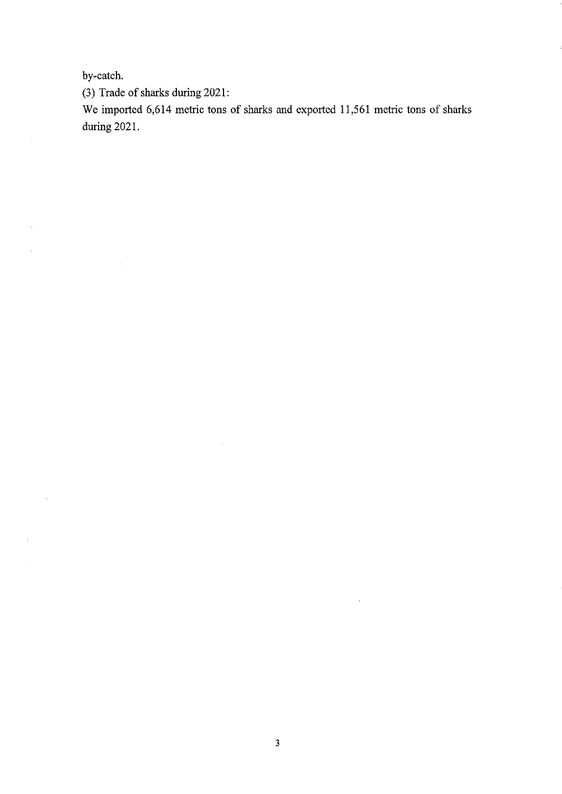by-catch.

 $\mathcal{A}$ 

 $\bar{\beta}$ 

 $\bar{\gamma}$ 

 $\bar{\gamma}$ 

 $\sim$ 

 $\mathcal{L}_{\mathcal{A}}$ 

 $\mathcal{A}^{\mathcal{A}}$ 

(3) Trade of sharks during 2021:

We imported 6,614 metric tons of sharks and exported 11,561 metric tons of sharks during 2021.

 $\sim$ 

 $\mathcal{A}^{\mathcal{A}}$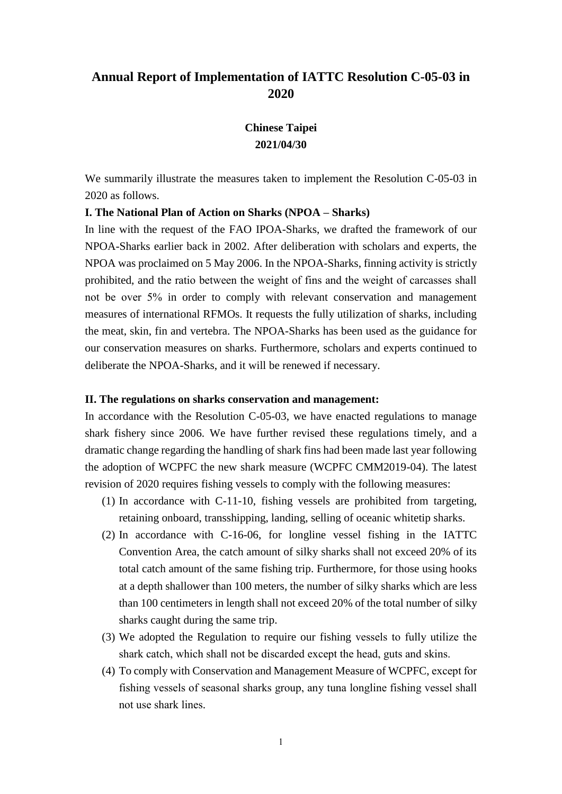## **Chinese Taipei 2021/04/30**

We summarily illustrate the measures taken to implement the Resolution C-05-03 in 2020 as follows.

#### **I. The National Plan of Action on Sharks (NPOA – Sharks)**

In line with the request of the FAO IPOA-Sharks, we drafted the framework of our NPOA-Sharks earlier back in 2002. After deliberation with scholars and experts, the NPOA was proclaimed on 5 May 2006. In the NPOA-Sharks, finning activity is strictly prohibited, and the ratio between the weight of fins and the weight of carcasses shall not be over 5% in order to comply with relevant conservation and management measures of international RFMOs. It requests the fully utilization of sharks, including the meat, skin, fin and vertebra. The NPOA-Sharks has been used as the guidance for our conservation measures on sharks. Furthermore, scholars and experts continued to deliberate the NPOA-Sharks, and it will be renewed if necessary.

#### **II. The regulations on sharks conservation and management:**

In accordance with the Resolution C-05-03, we have enacted regulations to manage shark fishery since 2006. We have further revised these regulations timely, and a dramatic change regarding the handling of shark fins had been made last year following the adoption of WCPFC the new shark measure (WCPFC CMM2019-04). The latest revision of 2020 requires fishing vessels to comply with the following measures:

- (1) In accordance with C-11-10, fishing vessels are prohibited from targeting, retaining onboard, transshipping, landing, selling of oceanic whitetip sharks.
- (2) In accordance with C-16-06, for longline vessel fishing in the IATTC Convention Area, the catch amount of silky sharks shall not exceed 20% of its total catch amount of the same fishing trip. Furthermore, for those using hooks at a depth shallower than 100 meters, the number of silky sharks which are less than 100 centimeters in length shall not exceed 20% of the total number of silky sharks caught during the same trip.
- (3) We adopted the Regulation to require our fishing vessels to fully utilize the shark catch, which shall not be discarded except the head, guts and skins.
- (4) To comply with Conservation and Management Measure of WCPFC, except for fishing vessels of seasonal sharks group, any tuna longline fishing vessel shall not use shark lines.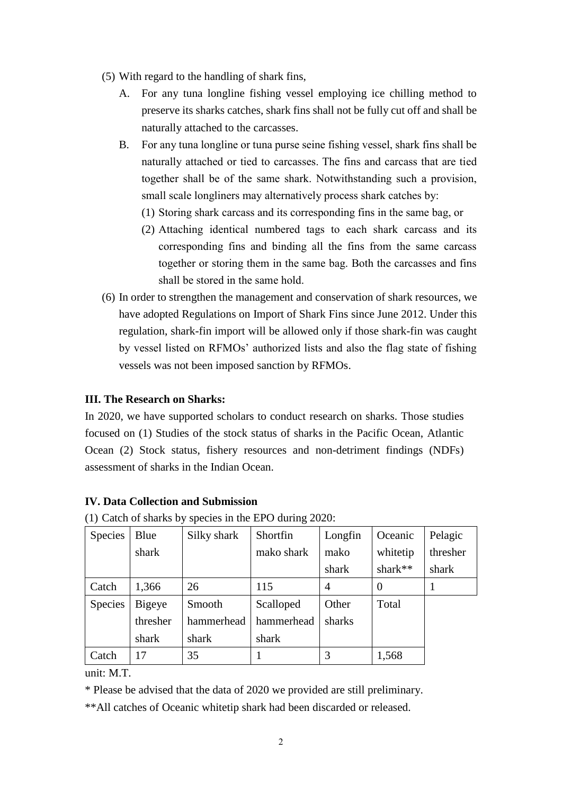- (5) With regard to the handling of shark fins,
	- A. For any tuna longline fishing vessel employing ice chilling method to preserve its sharks catches, shark fins shall not be fully cut off and shall be naturally attached to the carcasses.
	- B. For any tuna longline or tuna purse seine fishing vessel, shark fins shall be naturally attached or tied to carcasses. The fins and carcass that are tied together shall be of the same shark. Notwithstanding such a provision, small scale longliners may alternatively process shark catches by:
		- (1) Storing shark carcass and its corresponding fins in the same bag, or
		- (2) Attaching identical numbered tags to each shark carcass and its corresponding fins and binding all the fins from the same carcass together or storing them in the same bag. Both the carcasses and fins shall be stored in the same hold.
- (6) In order to strengthen the management and conservation of shark resources, we have adopted Regulations on Import of Shark Fins since June 2012. Under this regulation, shark-fin import will be allowed only if those shark-fin was caught by vessel listed on RFMOs' authorized lists and also the flag state of fishing vessels was not been imposed sanction by RFMOs.

In 2020, we have supported scholars to conduct research on sharks. Those studies focused on (1) Studies of the stock status of sharks in the Pacific Ocean, Atlantic Ocean (2) Stock status, fishery resources and non-detriment findings (NDFs) assessment of sharks in the Indian Ocean.

### **IV. Data Collection and Submission**

| <b>Species</b> | Blue     | Silky shark | Shortfin   | Longfin | Oceanic  | Pelagic  |
|----------------|----------|-------------|------------|---------|----------|----------|
|                | shark    |             | mako shark | mako    | whitetip | thresher |
|                |          |             |            | shark   | shark**  | shark    |
| Catch          | 1,366    | 26          | 115        | 4       | 0        |          |
| <b>Species</b> | Bigeye   | Smooth      | Scalloped  | Other   | Total    |          |
|                | thresher | hammerhead  | hammerhead | sharks  |          |          |
|                | shark    | shark       | shark      |         |          |          |
| Catch          | 17       | 35          |            | 3       | 1,568    |          |

(1) Catch of sharks by species in the EPO during 2020:

unit: M.T.

\* Please be advised that the data of 2020 we provided are still preliminary.

\*\*All catches of Oceanic whitetip shark had been discarded or released.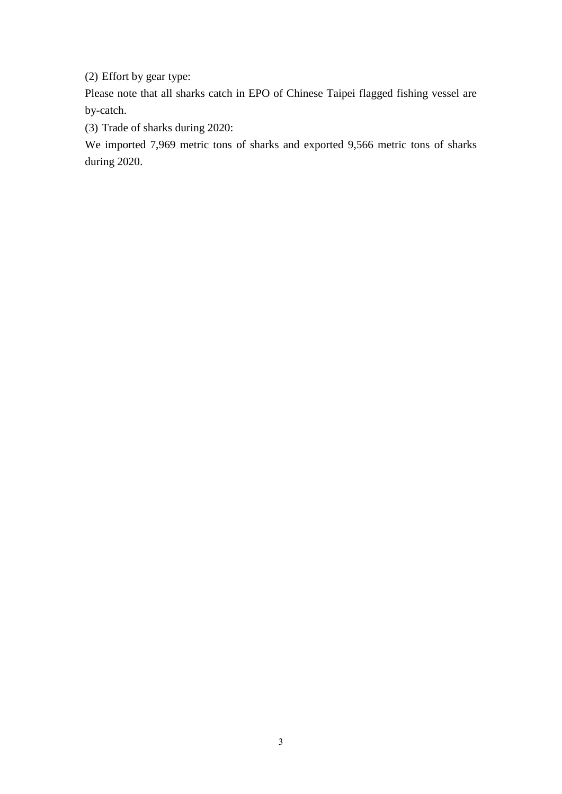(2) Effort by gear type:

Please note that all sharks catch in EPO of Chinese Taipei flagged fishing vessel are by-catch.

(3) Trade of sharks during 2020:

We imported 7,969 metric tons of sharks and exported 9,566 metric tons of sharks during 2020.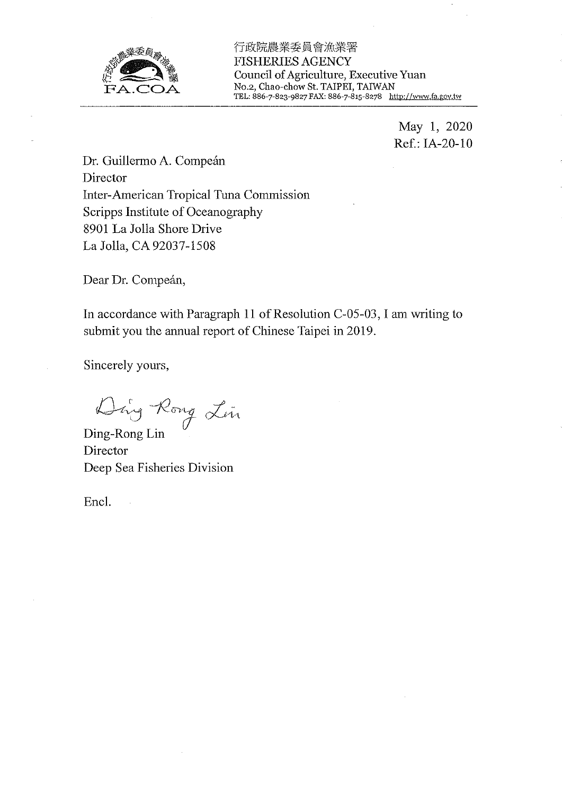

行政院農業委員會漁業署 **FISHERIES AGENCY** Council of Agriculture, Executive Yuan No.2, Chao-chow St. TAIPEI, TAIWAN<br>TEL: 886-7-823-9827 FAX: 886-7-815-8278 http://www.fa.gov.tw

> May 1, 2020 Ref.: IA-20-10

Dr. Guillermo A. Compeán Director Inter-American Tropical Tuna Commission Scripps Institute of Oceanography 8901 La Jolla Shore Drive La Jolla, CA 92037-1508

Dear Dr. Compeán,

In accordance with Paragraph 11 of Resolution C-05-03, I am writing to submit you the annual report of Chinese Taipei in 2019.

Sincerely yours,

Ding Rong Lin

Director Deep Sea Fisheries Division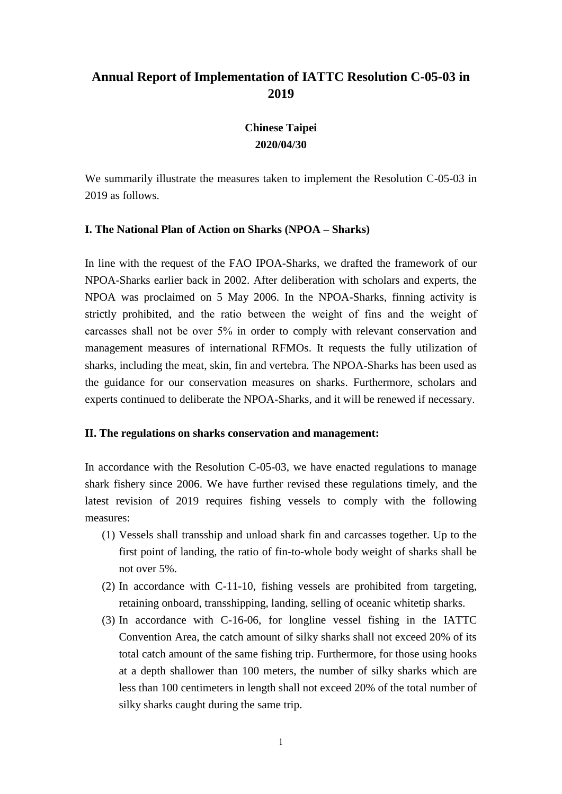# **Chinese Taipei 2020/04/30**

We summarily illustrate the measures taken to implement the Resolution C-05-03 in 2019 as follows.

### **I. The National Plan of Action on Sharks (NPOA – Sharks)**

In line with the request of the FAO IPOA-Sharks, we drafted the framework of our NPOA-Sharks earlier back in 2002. After deliberation with scholars and experts, the NPOA was proclaimed on 5 May 2006. In the NPOA-Sharks, finning activity is strictly prohibited, and the ratio between the weight of fins and the weight of carcasses shall not be over 5% in order to comply with relevant conservation and management measures of international RFMOs. It requests the fully utilization of sharks, including the meat, skin, fin and vertebra. The NPOA-Sharks has been used as the guidance for our conservation measures on sharks. Furthermore, scholars and experts continued to deliberate the NPOA-Sharks, and it will be renewed if necessary.

#### **II. The regulations on sharks conservation and management:**

In accordance with the Resolution C-05-03, we have enacted regulations to manage shark fishery since 2006. We have further revised these regulations timely, and the latest revision of 2019 requires fishing vessels to comply with the following measures:

- (1) Vessels shall transship and unload shark fin and carcasses together. Up to the first point of landing, the ratio of fin-to-whole body weight of sharks shall be not over 5%.
- (2) In accordance with C-11-10, fishing vessels are prohibited from targeting, retaining onboard, transshipping, landing, selling of oceanic whitetip sharks.
- (3) In accordance with C-16-06, for longline vessel fishing in the IATTC Convention Area, the catch amount of silky sharks shall not exceed 20% of its total catch amount of the same fishing trip. Furthermore, for those using hooks at a depth shallower than 100 meters, the number of silky sharks which are less than 100 centimeters in length shall not exceed 20% of the total number of silky sharks caught during the same trip.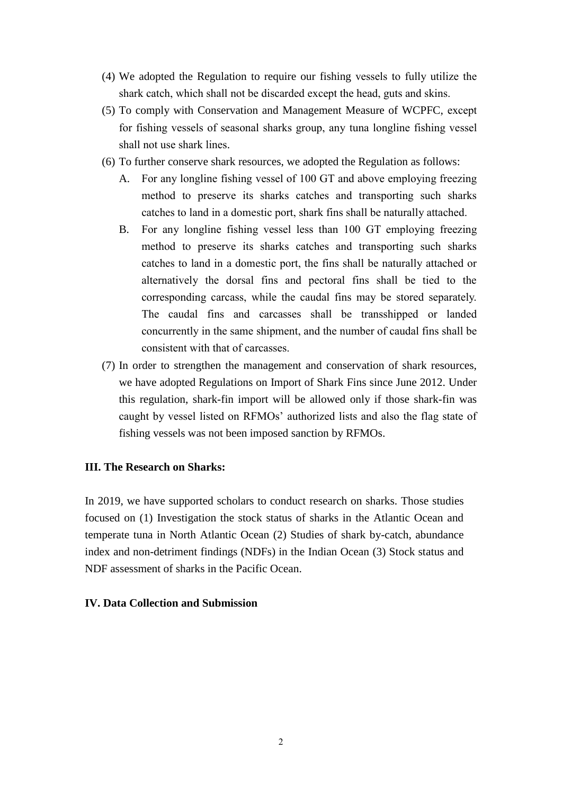- (4) We adopted the Regulation to require our fishing vessels to fully utilize the shark catch, which shall not be discarded except the head, guts and skins.
- (5) To comply with Conservation and Management Measure of WCPFC, except for fishing vessels of seasonal sharks group, any tuna longline fishing vessel shall not use shark lines.
- (6) To further conserve shark resources, we adopted the Regulation as follows:
	- For any longline fishing vessel of 100 GT and above employing freezing method to preserve its sharks catches and transporting such sharks catches to land in a domestic port, shark fins shall be naturally attached.
	- B. For any longline fishing vessel less than 100 GT employing freezing method to preserve its sharks catches and transporting such sharks catches to land in a domestic port, the fins shall be naturally attached or alternatively the dorsal fins and pectoral fins shall be tied to the corresponding carcass, while the caudal fins may be stored separately. The caudal fins and carcasses shall be transshipped or landed concurrently in the same shipment, and the number of caudal fins shall be consistent with that of carcasses.
- (7) In order to strengthen the management and conservation of shark resources, we have adopted Regulations on Import of Shark Fins since June 2012. Under this regulation, shark-fin import will be allowed only if those shark-fin was caught by vessel listed on RFMOs' authorized lists and also the flag state of fishing vessels was not been imposed sanction by RFMOs.

In 2019, we have supported scholars to conduct research on sharks. Those studies focused on (1) Investigation the stock status of sharks in the Atlantic Ocean and temperate tuna in North Atlantic Ocean (2) Studies of shark by-catch, abundance index and non-detriment findings (NDFs) in the Indian Ocean (3) Stock status and NDF assessment of sharks in the Pacific Ocean.

#### **IV. Data Collection and Submission**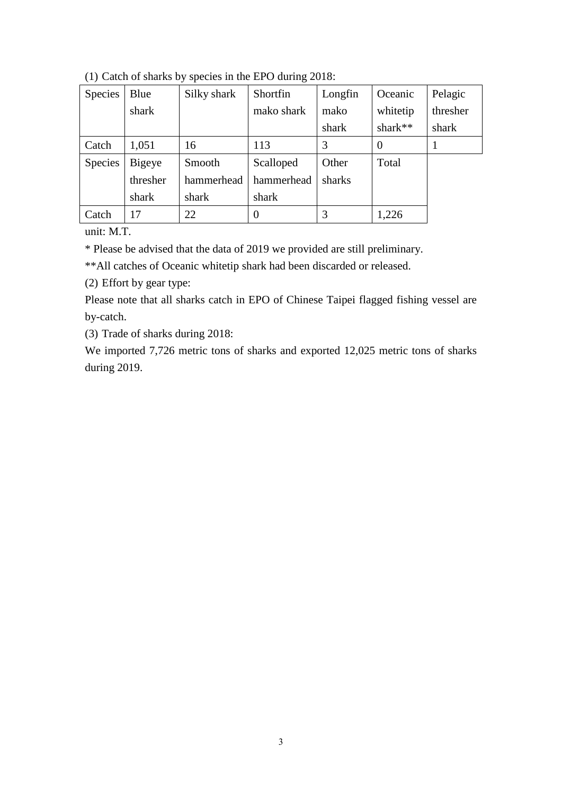| Species        | Blue     | Silky shark | Shortfin   | Longfin | Oceanic  | Pelagic  |
|----------------|----------|-------------|------------|---------|----------|----------|
|                | shark    |             | mako shark | mako    | whitetip | thresher |
|                |          |             |            | shark   | shark**  | shark    |
| Catch          | 1,051    | 16          | 113        | 3       | $\theta$ |          |
| <b>Species</b> | Bigeye   | Smooth      | Scalloped  | Other   | Total    |          |
|                | thresher | hammerhead  | hammerhead | sharks  |          |          |
|                | shark    | shark       | shark      |         |          |          |
| Catch          | 17       | 22          | $\theta$   | 3       | 1,226    |          |

(1) Catch of sharks by species in the EPO during 2018:

unit: M.T.

\* Please be advised that the data of 2019 we provided are still preliminary.

\*\*All catches of Oceanic whitetip shark had been discarded or released.

(2) Effort by gear type:

Please note that all sharks catch in EPO of Chinese Taipei flagged fishing vessel are by-catch.

(3) Trade of sharks during 2018:

We imported 7,726 metric tons of sharks and exported 12,025 metric tons of sharks during 2019.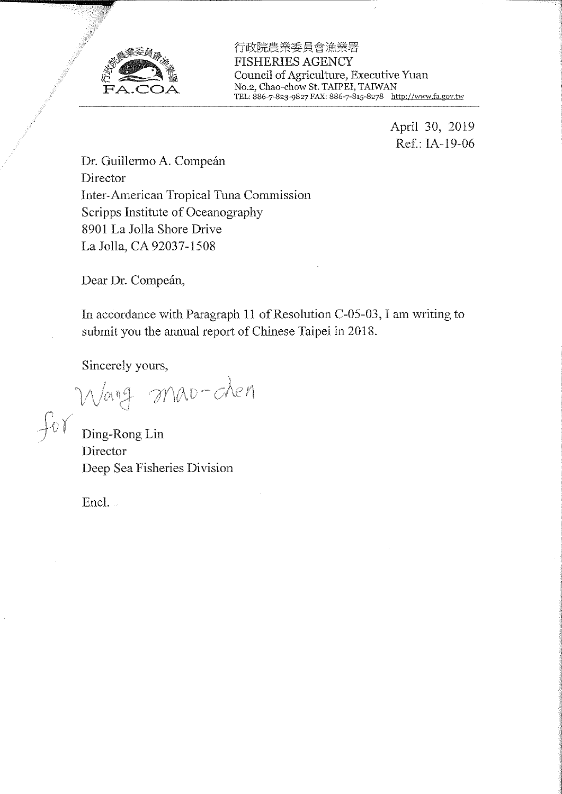

行政院農業委員會漁業署 **FISHERIES AGENCY** Council of Agriculture, Executive Yuan No.2, Chao-chow St. TAIPEI, TAIWAN TEL: 886-7-823-9827 FAX: 886-7-815-8278 http://www.fa.gov.tw

> April 30, 2019 Ref.: IA-19-06

Dr. Guillermo A. Compeán Director Inter-American Tropical Tuna Commission Scripps Institute of Oceanography 8901 La Jolla Shore Drive La Jolla, CA 92037-1508

Dear Dr. Compeán,

In accordance with Paragraph 11 of Resolution C-05-03, I am writing to submit you the annual report of Chinese Taipei in 2018.

Sincerely yours,

Wang Mao-chen

Director Deep Sea Fisheries Division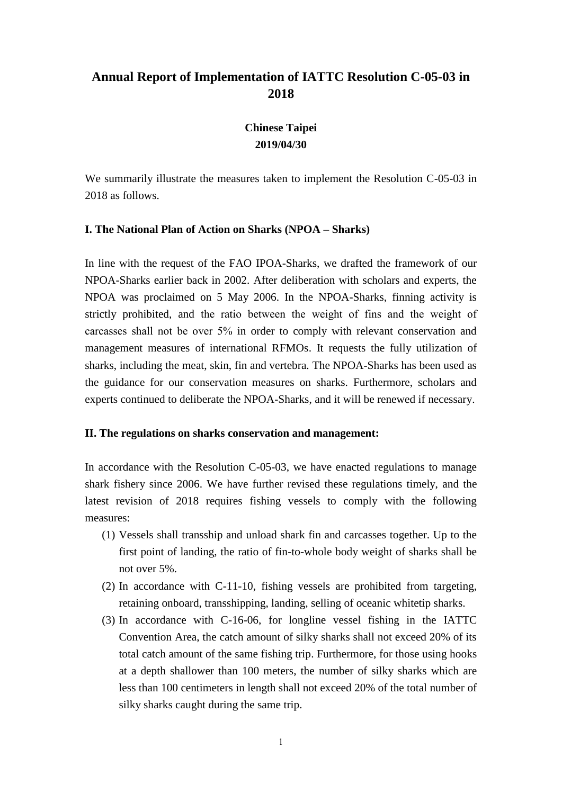# **Chinese Taipei 2019/04/30**

We summarily illustrate the measures taken to implement the Resolution C-05-03 in 2018 as follows.

### **I. The National Plan of Action on Sharks (NPOA – Sharks)**

In line with the request of the FAO IPOA-Sharks, we drafted the framework of our NPOA-Sharks earlier back in 2002. After deliberation with scholars and experts, the NPOA was proclaimed on 5 May 2006. In the NPOA-Sharks, finning activity is strictly prohibited, and the ratio between the weight of fins and the weight of carcasses shall not be over 5% in order to comply with relevant conservation and management measures of international RFMOs. It requests the fully utilization of sharks, including the meat, skin, fin and vertebra. The NPOA-Sharks has been used as the guidance for our conservation measures on sharks. Furthermore, scholars and experts continued to deliberate the NPOA-Sharks, and it will be renewed if necessary.

#### **II. The regulations on sharks conservation and management:**

In accordance with the Resolution C-05-03, we have enacted regulations to manage shark fishery since 2006. We have further revised these regulations timely, and the latest revision of 2018 requires fishing vessels to comply with the following measures:

- (1) Vessels shall transship and unload shark fin and carcasses together. Up to the first point of landing, the ratio of fin-to-whole body weight of sharks shall be not over 5%.
- (2) In accordance with C-11-10, fishing vessels are prohibited from targeting, retaining onboard, transshipping, landing, selling of oceanic whitetip sharks.
- (3) In accordance with C-16-06, for longline vessel fishing in the IATTC Convention Area, the catch amount of silky sharks shall not exceed 20% of its total catch amount of the same fishing trip. Furthermore, for those using hooks at a depth shallower than 100 meters, the number of silky sharks which are less than 100 centimeters in length shall not exceed 20% of the total number of silky sharks caught during the same trip.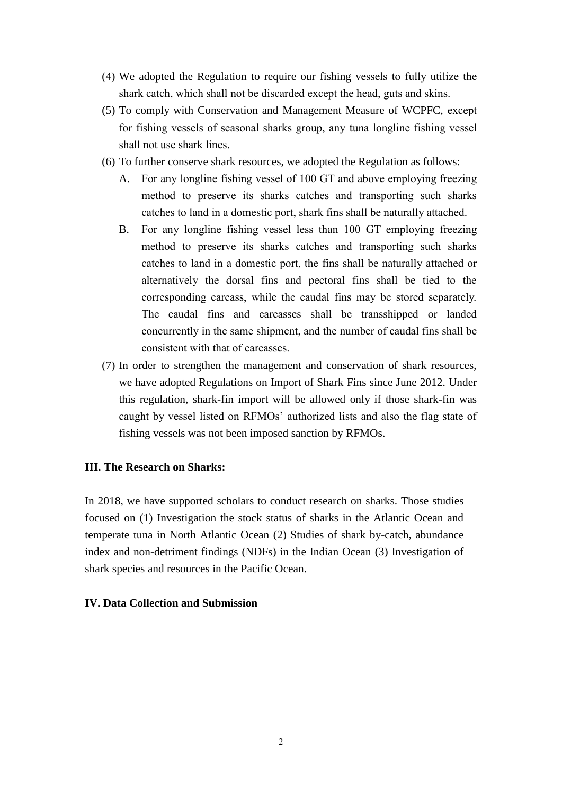- (4) We adopted the Regulation to require our fishing vessels to fully utilize the shark catch, which shall not be discarded except the head, guts and skins.
- (5) To comply with Conservation and Management Measure of WCPFC, except for fishing vessels of seasonal sharks group, any tuna longline fishing vessel shall not use shark lines.
- (6) To further conserve shark resources, we adopted the Regulation as follows:
	- A. For any longline fishing vessel of 100 GT and above employing freezing method to preserve its sharks catches and transporting such sharks catches to land in a domestic port, shark fins shall be naturally attached.
	- B. For any longline fishing vessel less than 100 GT employing freezing method to preserve its sharks catches and transporting such sharks catches to land in a domestic port, the fins shall be naturally attached or alternatively the dorsal fins and pectoral fins shall be tied to the corresponding carcass, while the caudal fins may be stored separately. The caudal fins and carcasses shall be transshipped or landed concurrently in the same shipment, and the number of caudal fins shall be consistent with that of carcasses.
- (7) In order to strengthen the management and conservation of shark resources, we have adopted Regulations on Import of Shark Fins since June 2012. Under this regulation, shark-fin import will be allowed only if those shark-fin was caught by vessel listed on RFMOs' authorized lists and also the flag state of fishing vessels was not been imposed sanction by RFMOs.

In 2018, we have supported scholars to conduct research on sharks. Those studies focused on (1) Investigation the stock status of sharks in the Atlantic Ocean and temperate tuna in North Atlantic Ocean (2) Studies of shark by-catch, abundance index and non-detriment findings (NDFs) in the Indian Ocean (3) Investigation of shark species and resources in the Pacific Ocean.

#### **IV. Data Collection and Submission**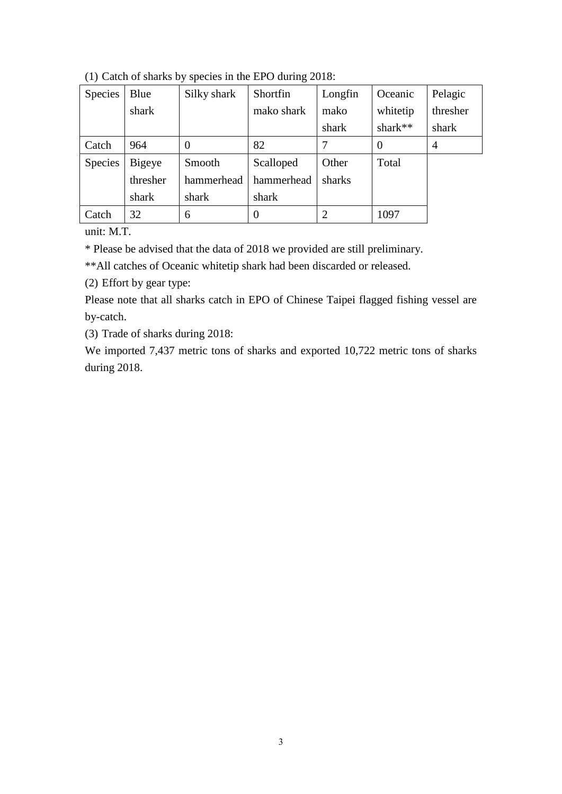| Species | Blue     | Silky shark | Shortfin   | Longfin        | Oceanic  | Pelagic  |
|---------|----------|-------------|------------|----------------|----------|----------|
|         | shark    |             | mako shark | mako           | whitetip | thresher |
|         |          |             |            | shark          | shark**  | shark    |
| Catch   | 964      | 0           | 82         | 7              | $\theta$ | 4        |
| Species | Bigeye   | Smooth      | Scalloped  | Other          | Total    |          |
|         | thresher | hammerhead  | hammerhead | sharks         |          |          |
|         | shark    | shark       | shark      |                |          |          |
| Catch   | 32       | 6           | $\theta$   | $\overline{2}$ | 1097     |          |

(1) Catch of sharks by species in the EPO during 2018:

unit: M.T.

\* Please be advised that the data of 2018 we provided are still preliminary.

\*\*All catches of Oceanic whitetip shark had been discarded or released.

(2) Effort by gear type:

Please note that all sharks catch in EPO of Chinese Taipei flagged fishing vessel are by-catch.

(3) Trade of sharks during 2018:

We imported 7,437 metric tons of sharks and exported 10,722 metric tons of sharks during 2018.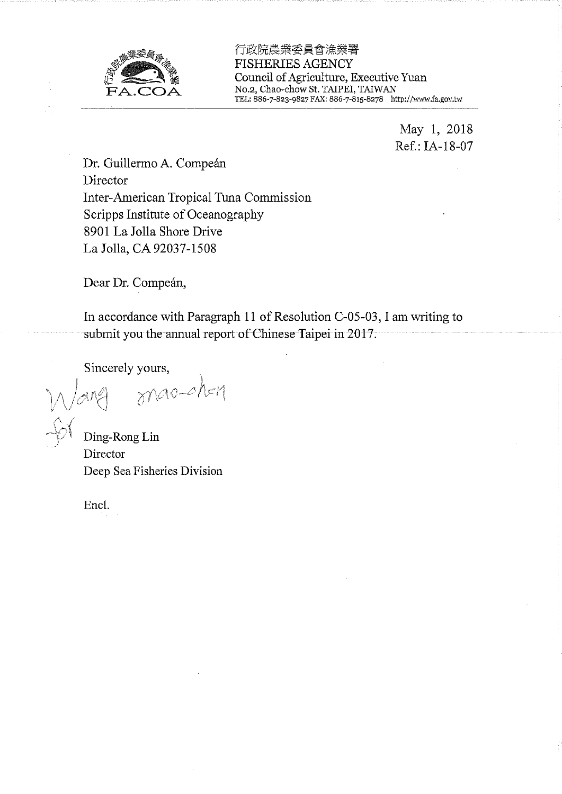

行政院農業委員會漁業署 **FISHERIES AGENCY** Council of Agriculture, Executive Yuan No.2, Chao-chow St. TAIPEI, TAIWAN TEL: 886-7-823-9827 FAX: 886-7-815-8278 http://www.fa.gov.tw

> May 1, 2018 Ref.: IA-18-07

Dr. Guillermo A. Compeán Director Inter-American Tropical Tuna Commission Scripps Institute of Oceanography 8901 La Jolla Shore Drive La Jolla, CA 92037-1508

Dear Dr. Compeán,

In accordance with Paragraph 11 of Resolution C-05-03, I am writing to submit you the annual report of Chinese Taipei in 2017.

Sincerely yours,

mao-ch-n

Ding-Rong Lin Director Deep Sea Fisheries Division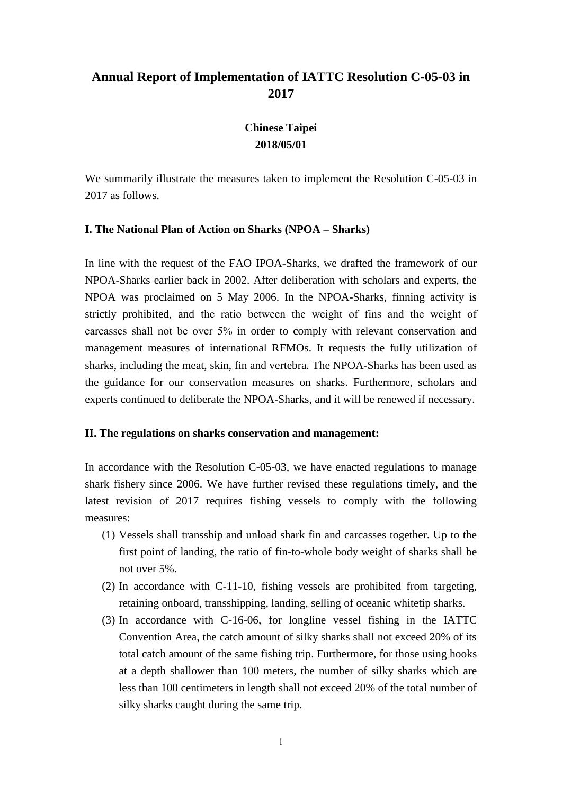# **Chinese Taipei 2018/05/01**

We summarily illustrate the measures taken to implement the Resolution C-05-03 in 2017 as follows.

### **I. The National Plan of Action on Sharks (NPOA – Sharks)**

In line with the request of the FAO IPOA-Sharks, we drafted the framework of our NPOA-Sharks earlier back in 2002. After deliberation with scholars and experts, the NPOA was proclaimed on 5 May 2006. In the NPOA-Sharks, finning activity is strictly prohibited, and the ratio between the weight of fins and the weight of carcasses shall not be over 5% in order to comply with relevant conservation and management measures of international RFMOs. It requests the fully utilization of sharks, including the meat, skin, fin and vertebra. The NPOA-Sharks has been used as the guidance for our conservation measures on sharks. Furthermore, scholars and experts continued to deliberate the NPOA-Sharks, and it will be renewed if necessary.

#### **II. The regulations on sharks conservation and management:**

In accordance with the Resolution C-05-03, we have enacted regulations to manage shark fishery since 2006. We have further revised these regulations timely, and the latest revision of 2017 requires fishing vessels to comply with the following measures:

- (1) Vessels shall transship and unload shark fin and carcasses together. Up to the first point of landing, the ratio of fin-to-whole body weight of sharks shall be not over 5%.
- (2) In accordance with C-11-10, fishing vessels are prohibited from targeting, retaining onboard, transshipping, landing, selling of oceanic whitetip sharks.
- (3) In accordance with C-16-06, for longline vessel fishing in the IATTC Convention Area, the catch amount of silky sharks shall not exceed 20% of its total catch amount of the same fishing trip. Furthermore, for those using hooks at a depth shallower than 100 meters, the number of silky sharks which are less than 100 centimeters in length shall not exceed 20% of the total number of silky sharks caught during the same trip.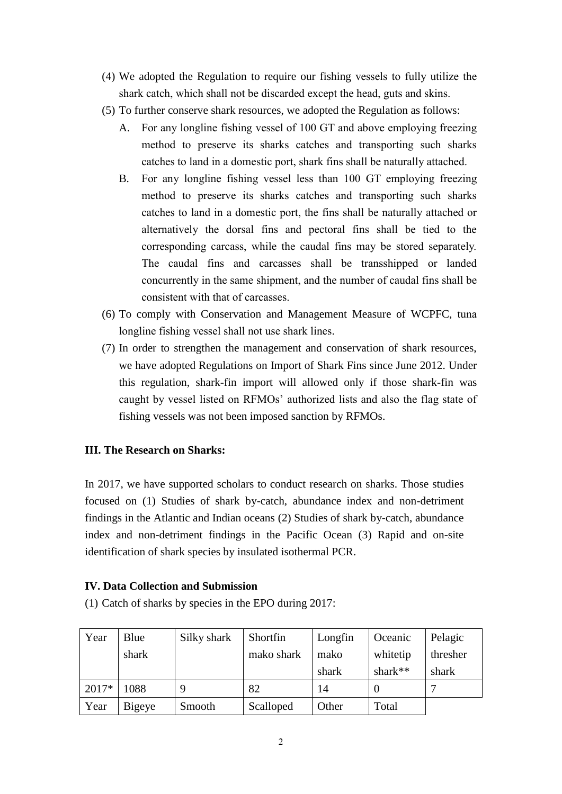- (4) We adopted the Regulation to require our fishing vessels to fully utilize the shark catch, which shall not be discarded except the head, guts and skins.
- (5) To further conserve shark resources, we adopted the Regulation as follows:
	- A. For any longline fishing vessel of 100 GT and above employing freezing method to preserve its sharks catches and transporting such sharks catches to land in a domestic port, shark fins shall be naturally attached.
	- B. For any longline fishing vessel less than 100 GT employing freezing method to preserve its sharks catches and transporting such sharks catches to land in a domestic port, the fins shall be naturally attached or alternatively the dorsal fins and pectoral fins shall be tied to the corresponding carcass, while the caudal fins may be stored separately. The caudal fins and carcasses shall be transshipped or landed concurrently in the same shipment, and the number of caudal fins shall be consistent with that of carcasses.
- (6) To comply with Conservation and Management Measure of WCPFC, tuna longline fishing vessel shall not use shark lines.
- (7) In order to strengthen the management and conservation of shark resources, we have adopted Regulations on Import of Shark Fins since June 2012. Under this regulation, shark-fin import will allowed only if those shark-fin was caught by vessel listed on RFMOs' authorized lists and also the flag state of fishing vessels was not been imposed sanction by RFMOs.

In 2017, we have supported scholars to conduct research on sharks. Those studies focused on (1) Studies of shark by-catch, abundance index and non-detriment findings in the Atlantic and Indian oceans (2) Studies of shark by-catch, abundance index and non-detriment findings in the Pacific Ocean (3) Rapid and on-site identification of shark species by insulated isothermal PCR.

### **IV. Data Collection and Submission**

(1) Catch of sharks by species in the EPO during 2017:

| Year    | Blue   | Silky shark | Shortfin   | Longfin | Oceanic    | Pelagic  |
|---------|--------|-------------|------------|---------|------------|----------|
|         | shark  |             | mako shark | mako    | whitetip   | thresher |
|         |        |             |            | shark   | shark $**$ | shark    |
| $2017*$ | 1088   |             | 82         | 14      |            |          |
| Year    | Bigeye | Smooth      | Scalloped  | Other   | Total      |          |